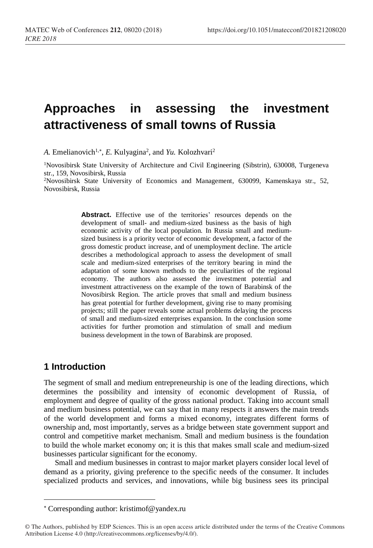# **Approaches in assessing the investment attractiveness of small towns of Russia**

A. Emelianovich<sup>1,\*</sup>, *E.* Kulyagina<sup>2</sup>, and *Yu.* Kolozhvari<sup>2</sup>

<sup>1</sup>Novosibirsk State University of Architecture and Civil Engineering (Sibstrin), 630008, Turgeneva str., 159, Novosibirsk, Russia

<sup>2</sup>Novosibirsk State University of Economics and Management, 630099, Kamenskaya str., 52, Novosibirsk, Russia

> Abstract. Effective use of the territories' resources depends on the development of small- and medium-sized business as the basis of high economic activity of the local population. In Russia small and mediumsized business is a priority vector of economic development, a factor of the gross domestic product increase, and of unemployment decline. The article describes a methodological approach to assess the development of small scale and medium-sized enterprises of the territory bearing in mind the adaptation of some known methods to the peculiarities of the regional economy. The authors also assessed the investment potential and investment attractiveness on the example of the town of Barabinsk of the Novosibirsk Region. The article proves that small and medium business has great potential for further development, giving rise to many promising projects; still the paper reveals some actual problems delaying the process of small and medium-sized enterprises expansion. In the conclusion some activities for further promotion and stimulation of small and medium business development in the town of Barabinsk are proposed.

## **1 Introduction**

l

The segment of small and medium entrepreneurship is one of the leading directions, which determines the possibility and intensity of economic development of Russia, of employment and degree of quality of the gross national product. Taking into account small and medium business potential, we can say that in many respects it answers the main trends of the world development and forms a mixed economy, integrates different forms of ownership and, most importantly, serves as a bridge between state government support and control and competitive market mechanism. Small and medium business is the foundation to build the whole market economy on; it is this that makes small scale and medium-sized businesses particular significant for the economy.

Small and medium businesses in contrast to major market players consider local level of demand as a priority, giving preference to the specific needs of the consumer. It includes specialized products and services, and innovations, while big business sees its principal

Corresponding author: kristimof@yandex.ru

<sup>©</sup> The Authors, published by EDP Sciences. This is an open access article distributed under the terms of the Creative Commons Attribution License 4.0 (http://creativecommons.org/licenses/by/4.0/).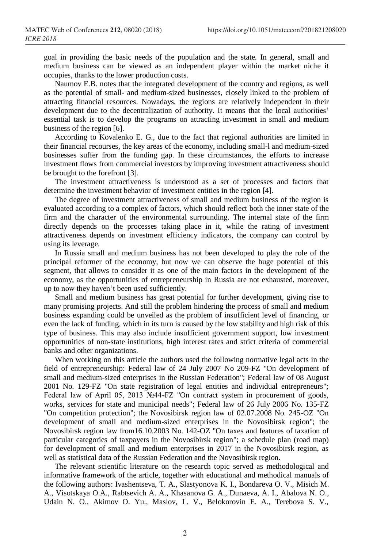goal in providing the basic needs of the population and the state. In general, small and medium business can be viewed as an independent player within the market niche it occupies, thanks to the lower production costs.

Naumov E.B. notes that the integrated development of the country and regions, as well as the potential of small- and medium-sized businesses, closely linked to the problem of attracting financial resources. Nowadays, the regions are relatively independent in their development due to the decentralization of authority. It means that the local authorities' essential task is to develop the programs on attracting investment in small and medium business of the region [6].

According to Kovalenko E. G., due to the fact that regional authorities are limited in their financial recourses, the key areas of the economy, including small-l and medium-sized businesses suffer from the funding gap. In these circumstances, the efforts to increase investment flows from commercial investors by improving investment attractiveness should be brought to the forefront [3].

The investment attractiveness is understood as a set of processes and factors that determine the investment behavior of investment entities in the region [4].

The degree of investment attractiveness of small and medium business of the region is evaluated according to a complex of factors, which should reflect both the inner state of the firm and the character of the environmental surrounding. The internal state of the firm directly depends on the processes taking place in it, while the rating of investment attractiveness depends on investment efficiency indicators, the company can control by using its leverage.

In Russia small and medium business has not been developed to play the role of the principal reformer of the economy, but now we can observe the huge potential of this segment, that allows to consider it as one of the main factors in the development of the economy, as the opportunities of entrepreneurship in Russia are not exhausted, moreover, up to now they haven't been used sufficiently.

Small and medium business has great potential for further development, giving rise to many promising projects. And still the problem hindering the process of small and medium business expanding could be unveiled as the problem of insufficient level of financing, or even the lack of funding, which in its turn is caused by the low stability and high risk of this type of business. This may also include insufficient government support, low investment opportunities of non-state institutions, high interest rates and strict criteria of commercial banks and other organizations.

When working on this article the authors used the following normative legal acts in the field of entrepreneurship: Federal law of 24 July 2007 No 209-FZ "On development of small and medium-sized enterprises in the Russian Federation"; Federal law of 08 August 2001 No. 129-FZ "On state registration of legal entities and individual entrepreneurs"; Federal law of April 05, 2013 №44-FZ "On contract system in procurement of goods, works, services for state and municipal needs"; Federal law of 26 July 2006 No. 135-FZ "On competition protection"; the Novosibirsk region law of 02.07.2008 No. 245-OZ "On development of small and medium-sized enterprises in the Novosibirsk region"; the Novosibirsk region law from16.10.2003 No. 142-OZ "On taxes and features of taxation of particular categories of taxpayers in the Novosibirsk region"; a schedule plan (road map) for development of small and medium enterprises in 2017 in the Novosibirsk region, as well as statistical data of the Russian Federation and the Novosibirsk region.

The relevant scientific literature on the research topic served as methodological and informative framework of the article, together with educational and methodical manuals of the following authors: Ivashentseva, T. A., Slastyonova K. I., Bondareva O. V., Misich M. A., Visotskaya O.A., Rabtsevich A. A., Khasanova G. A., Dunaeva, A. I., Abalova N. O., Udain N. O., Akimov O. Yu., Maslov, L. V., Belokorovin E. A., Terebova S. V.,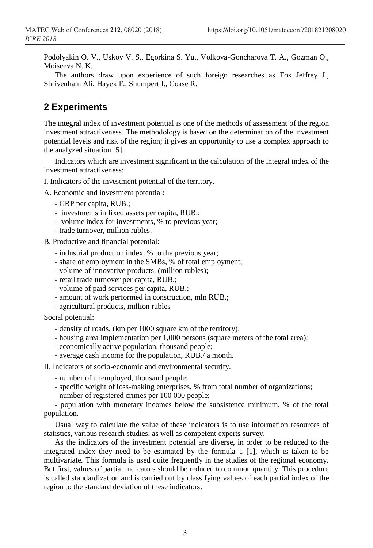Podolyakin O. V., Uskov V. S., Egorkina S. Yu., Volkova-Goncharova T. A., Gozman O., Moiseeva N. K.

The authors draw upon experience of such foreign researches as Fox Jeffrey J., Shrivenham Ali, Hayek F., Shumpert I., Coase R.

#### **2 Experiments**

The integral index of investment potential is one of the methods of assessment of the region investment attractiveness. The methodology is based on the determination of the investment potential levels and risk of the region; it gives an opportunity to use a complex approach to the analyzed situation [5].

Indicators which are investment significant in the calculation of the integral index of the investment attractiveness:

I. Indicators of the investment potential of the territory.

- A. Economic and investment potential:
	- GRP per capita, RUB.;
	- investments in fixed assets per capita, RUB.;
	- volume index for investments, % to previous year;
	- trade turnover, million rubles.

B. Productive and financial potential:

- industrial production index, % to the previous year;
- share of employment in the SMBs, % of total employment;
- volume of innovative products, (million rubles);
- retail trade turnover per capita, RUB.;
- volume of paid services per capita, RUB.;
- amount of work performed in construction, mln RUB.;
- agricultural products, million rubles

Social potential:

- density of roads, (km per 1000 square km of the territory);
- housing area implementation per 1,000 persons (square meters of the total area);
- economically active population, thousand people;
- average cash income for the population, RUB./ a month.

II. Indicators of socio-economic and environmental security.

- number of unemployed, thousand people;
- specific weight of loss-making enterprises, % from total number of organizations;
- number of registered crimes per 100 000 people;

- population with monetary incomes below the subsistence minimum, % of the total population.

Usual way to calculate the value of these indicators is to use information resources of statistics, various research studies, as well as competent experts survey.

As the indicators of the investment potential are diverse, in order to be reduced to the integrated index they need to be estimated by the formula 1 [1], which is taken to be multivariate. This formula is used quite frequently in the studies of the regional economy. But first, values of partial indicators should be reduced to common quantity. This procedure is called standardization and is carried out by classifying values of each partial index of the region to the standard deviation of these indicators.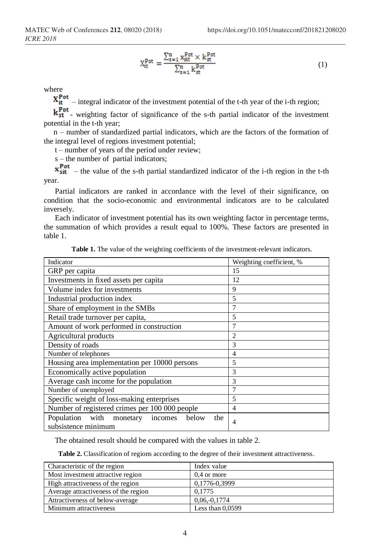$$
X_{it}^{pot} = \frac{\sum_{s=1}^{n} x_{sit}^{pot} \times k_{st}^{Pot}}{\sum_{s=1}^{n} k_{st}^{pot}}
$$
(1)

where  $X_{it}^{Pot}$ 

– integral indicator of the investment potential of the t-th year of the i-th region;

 $k_{st}$ <sup>Pot</sup> - weighting factor of significance of the s-th partial indicator of the investment potential in the t-th year;

 n – number of standardized partial indicators, which are the factors of the formation of the integral level of regions investment potential;

t – number of years of the period under review;

s – the number of partial indicators;

 $x_{sit}$  – the value of the s-th partial standardized indicator of the i-th region in the t-th year.

Partial indicators are ranked in accordance with the level of their significance, on condition that the socio-economic and environmental indicators are to be calculated inversely.

Each indicator of investment potential has its own weighting factor in percentage terms, the summation of which provides a result equal to 100%. These factors are presented in table 1.

| Indicator                                                               | Weighting coefficient, % |
|-------------------------------------------------------------------------|--------------------------|
| GRP per capita                                                          | 15                       |
| Investments in fixed assets per capita                                  | 12                       |
| Volume index for investments                                            | 9                        |
| Industrial production index                                             | 5                        |
| Share of employment in the SMBs                                         | 7                        |
| Retail trade turnover per capita,                                       | 5                        |
| Amount of work performed in construction                                | 7                        |
| Agricultural products                                                   | $\overline{2}$           |
| Density of roads                                                        | 3                        |
| Number of telephones                                                    | 4                        |
| Housing area implementation per 10000 persons                           | 5                        |
| Economically active population                                          | 3                        |
| Average cash income for the population                                  | 3                        |
| Number of unemployed                                                    | 7                        |
| Specific weight of loss-making enterprises                              | 5                        |
| Number of registered crimes per 100 000 people                          | 4                        |
| Population with monetary<br>incomes below<br>the<br>subsistence minimum | 4                        |

**Table 1.** The value of the weighting coefficients of the investment-relevant indicators.

The obtained result should be compared with the values in table 2.

**Table 2.** Classification of regions according to the degree of their investment attractiveness.

| Characteristic of the region         | Index value        |
|--------------------------------------|--------------------|
| Most investment attractive region    | $0.4$ or more      |
| High attractiveness of the region    | 0,1776-0,3999      |
| Average attractiveness of the region | 0.1775             |
| Attractiveness of below-average      | $0.06,-0.1774$     |
| Minimum attractiveness               | Less than $0.0599$ |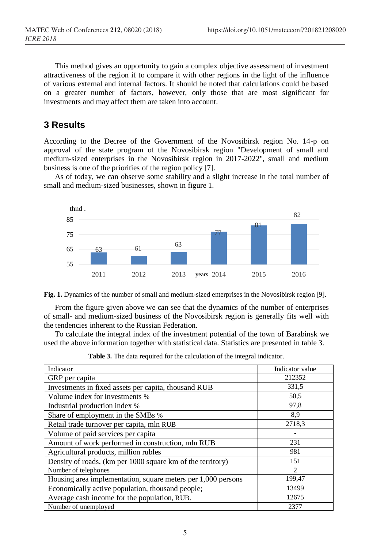This method gives an opportunity to gain a complex objective assessment of investment attractiveness of the region if to compare it with other regions in the light of the influence of various external and internal factors. It should be noted that calculations could be based on a greater number of factors, however, only those that are most significant for investments and may affect them are taken into account.

### **3 Results**

According to the Decree of the Government of the Novosibirsk region No. 14-p on approval of the state program of the Novosibirsk region "Development of small and medium-sized enterprises in the Novosibirsk region in 2017-2022", small and medium business is one of the priorities of the region policy [7].

As of today, we can observe some stability and a slight increase in the total number of small and medium-sized businesses, shown in figure 1.





From the figure given above we can see that the dynamics of the number of enterprises of small- and medium-sized business of the Novosibirsk region is generally fits well with the tendencies inherent to the Russian Federation.

To calculate the integral index of the investment potential of the town of Barabinsk we used the above information together with statistical data. Statistics are presented in table 3.

| Indicator                                                    | Indicator value |
|--------------------------------------------------------------|-----------------|
| GRP per capita                                               | 212352          |
| Investments in fixed assets per capita, thousand RUB         | 331,5           |
| Volume index for investments %                               | 50,5            |
| Industrial production index %                                | 97,8            |
| Share of employment in the SMBs %                            | 8.9             |
| Retail trade turnover per capita, mln RUB                    | 2718,3          |
| Volume of paid services per capita                           |                 |
| Amount of work performed in construction, mln RUB            | 231             |
| Agricultural products, million rubles                        | 981             |
| Density of roads, (km per 1000 square km of the territory)   | 151             |
| Number of telephones                                         | $\mathcal{L}$   |
| Housing area implementation, square meters per 1,000 persons | 199,47          |
| Economically active population, thousand people;             | 13499           |
| Average cash income for the population, RUB.                 | 12675           |
| Number of unemployed                                         | 2377            |

**Table 3.** The data required for the calculation of the integral indicator.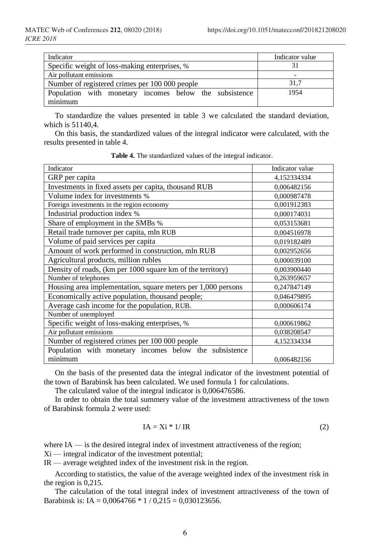| Indicator                                              | Indicator value          |
|--------------------------------------------------------|--------------------------|
| Specific weight of loss-making enterprises, %          |                          |
| Air pollutant emissions                                | $\overline{\phantom{a}}$ |
| Number of registered crimes per 100 000 people         | 31.7                     |
| Population with monetary incomes below the subsistence | 1954                     |
| minimum                                                |                          |

To standardize the values presented in table 3 we calculated the standard deviation, which is 51140,4.

On this basis, the standardized values of the integral indicator were calculated, with the results presented in table 4.

| Indicator                                                    | Indicator value |
|--------------------------------------------------------------|-----------------|
| GRP per capita                                               | 4,152334334     |
| Investments in fixed assets per capita, thousand RUB         | 0,006482156     |
| Volume index for investments %                               | 0,000987478     |
| Foreign investments in the region economy                    | 0,001912383     |
| Industrial production index %                                | 0,000174031     |
| Share of employment in the SMBs %                            | 0,053153681     |
| Retail trade turnover per capita, mln RUB                    | 0,004516978     |
| Volume of paid services per capita                           | 0,019182489     |
| Amount of work performed in construction, mln RUB            | 0,002952656     |
| Agricultural products, million rubles                        | 0,000039100     |
| Density of roads, (km per 1000 square km of the territory)   | 0,003900440     |
| Number of telephones                                         | 0,263959657     |
| Housing area implementation, square meters per 1,000 persons | 0,247847149     |
| Economically active population, thousand people;             | 0,046479895     |
| Average cash income for the population, RUB.                 | 0,000606174     |
| Number of unemployed                                         |                 |
| Specific weight of loss-making enterprises, %                | 0,000619862     |
| Air pollutant emissions                                      | 0,038208547     |
| Number of registered crimes per 100 000 people               | 4,152334334     |
| Population with monetary incomes below the subsistence       |                 |
| minimum                                                      | 0,006482156     |

**Table 4.** The standardized values of the integral indicator.

On the basis of the presented data the integral indicator of the investment potential of the town of Barabinsk has been calculated. We used formula 1 for calculations.

The calculated value of the integral indicator is 0,006476586.

In order to obtain the total summery value of the investment attractiveness of the town of Barabinsk formula 2 were used:

$$
IA = Xi * 1/ IR
$$
 (2)

where IA — is the desired integral index of investment attractiveness of the region; Хi — integral indicator of the investment potential;

IR — average weighted index of the investment risk in the region.

According to statistics, the value of the average weighted index of the investment risk in the region is 0,215.

The calculation of the total integral index of investment attractiveness of the town of Barabinsk is: IA =  $0,0064766 * 1 / 0,215 = 0,030123656$ .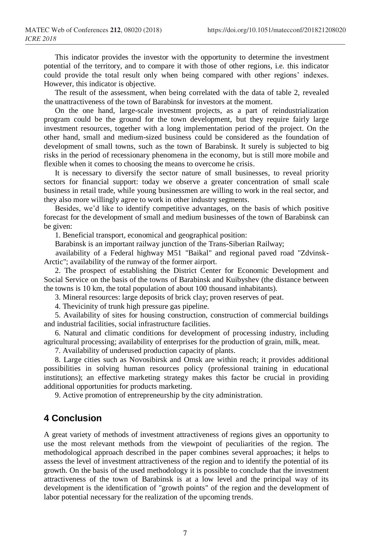This indicator provides the investor with the opportunity to determine the investment potential of the territory, and to compare it with those of other regions, i.e. this indicator could provide the total result only when being compared with other regions' indexes. However, this indicator is objective.

The result of the assessment, when being correlated with the data of table 2, revealed the unattractiveness of the town of Barabinsk for investors at the moment.

On the one hand, large-scale investment projects, as a part of reindustrialization program could be the ground for the town development, but they require fairly large investment resources, together with a long implementation period of the project. On the other hand, small and medium-sized business could be considered as the foundation of development of small towns, such as the town of Barabinsk. It surely is subjected to big risks in the period of recessionary phenomena in the economy, but is still more mobile and flexible when it comes to choosing the means to overcome he crisis.

It is necessary to diversify the sector nature of small businesses, to reveal priority sectors for financial support: today we observe a greater concentration of small scale business in retail trade, while young businessmen are willing to work in the real sector, and they also more willingly agree to work in other industry segments.

Besides, we'd like to identify competitive advantages, on the basis of which positive forecast for the development of small and medium businesses of the town of Barabinsk can be given:

1. Beneficial transport, economical and geographical position:

Barabinsk is an important railway junction of the Trans-Siberian Railway;

 availability of a Federal highway M51 "Baikal" and regional paved road "Zdvinsk-Arctic"; availability of the runway of the former airport.

2. The prospect of establishing the District Center for Economic Development and Social Service on the basis of the towns of Barabinsk and Kuibyshev (the distance between the towns is 10 km, the total population of about 100 thousand inhabitants).

3. Mineral resources: large deposits of brick clay; proven reserves of peat.

4. Thevicinity of trunk high pressure gas pipeline.

5. Availability of sites for housing construction, construction of commercial buildings and industrial facilities, social infrastructure facilities.

6. Natural and climatic conditions for development of processing industry, including agricultural processing; availability of enterprises for the production of grain, milk, meat.

7. Availability of underused production capacity of plants.

8. Large cities such as Novosibirsk and Omsk are within reach; it provides additional possibilities in solving human resources policy (professional training in educational institutions); an effective marketing strategy makes this factor be crucial in providing additional opportunities for products marketing.

9. Active promotion of entrepreneurship by the city administration.

#### **4 Conclusion**

A great variety of methods of investment attractiveness of regions gives an opportunity to use the most relevant methods from the viewpoint of peculiarities of the region. The methodological approach described in the paper combines several approaches; it helps to assess the level of investment attractiveness of the region and to identify the potential of its growth. On the basis of the used methodology it is possible to conclude that the investment attractiveness of the town of Barabinsk is at a low level and the principal way of its development is the identification of "growth points" of the region and the development of labor potential necessary for the realization of the upcoming trends.